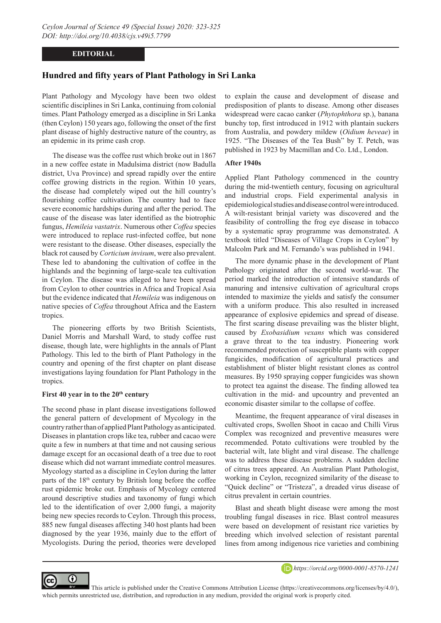# **EDITORIAL**

# **Hundred and fifty years of Plant Pathology in Sri Lanka**

Plant Pathology and Mycology have been two oldest scientific disciplines in Sri Lanka, continuing from colonial times. Plant Pathology emerged as a discipline in Sri Lanka (then Ceylon) 150 years ago, following the onset of the first plant disease of highly destructive nature of the country, as an epidemic in its prime cash crop.

The disease was the coffee rust which broke out in 1867 in a new coffee estate in Madulsima district (now Badulla district, Uva Province) and spread rapidly over the entire coffee growing districts in the region. Within 10 years, the disease had completely wiped out the hill country's flourishing coffee cultivation*.* The country had to face severe economic hardships during and after the period. The cause of the disease was later identified as the biotrophic fungus, *Hemileia vastatrix*. Numerous other *Coffea* species were introduced to replace rust-infected coffee, but none were resistant to the disease. Other diseases, especially the black rot caused by *Corticium invisum*, were also prevalent. These led to abandoning the cultivation of coffee in the highlands and the beginning of large-scale tea cultivation in Ceylon. The disease was alleged to have been spread from Ceylon to other countries in Africa and Tropical Asia but the evidence indicated that *Hemileia* was indigenous on native species of *Coffea* throughout Africa and the Eastern tropics.

The pioneering efforts by two British Scientists, Daniel Morris and Marshall Ward, to study coffee rust disease, though late, were highlights in the annals of Plant Pathology. This led to the birth of Plant Pathology in the country and opening of the first chapter on plant disease investigations laying foundation for Plant Pathology in the tropics.

#### First 40 year in to the 20<sup>th</sup> century

⋒

The second phase in plant disease investigations followed the general pattern of development of Mycology in the country rather than of applied Plant Pathology as anticipated. Diseases in plantation crops like tea, rubber and cacao were quite a few in numbers at that time and not causing serious damage except for an occasional death of a tree due to root disease which did not warrant immediate control measures. Mycology started as a discipline in Ceylon during the latter parts of the 18<sup>th</sup> century by British long before the coffee rust epidemic broke out. Emphasis of Mycology centered around descriptive studies and taxonomy of fungi which led to the identification of over 2,000 fungi, a majority being new species records to Ceylon. Through this process, 885 new fungal diseases affecting 340 host plants had been diagnosed by the year 1936, mainly due to the effort of Mycologists. During the period, theories were developed

to explain the cause and development of disease and predisposition of plants to disease. Among other diseases widespread were cacao canker (*Phytophthora* sp.), banana bunchy top, first introduced in 1912 with plantain suckers from Australia, and powdery mildew (*Oidium heveae*) in 1925. "The Diseases of the Tea Bush" by T. Petch, was published in 1923 by Macmillan and Co. Ltd., London.

## **After 1940s**

Applied Plant Pathology commenced in the country during the mid-twentieth century, focusing on agricultural and industrial crops. Field experimental analysis in epidemiological studies and disease control were introduced. A wilt-resistant brinjal variety was discovered and the feasibility of controlling the frog eye disease in tobacco by a systematic spray programme was demonstrated. A textbook titled "Diseases of Village Crops in Ceylon" by Malcolm Park and M. Fernando's was published in 1941.

The more dynamic phase in the development of Plant Pathology originated after the second world-war. The period marked the introduction of intensive standards of manuring and intensive cultivation of agricultural crops intended to maximize the yields and satisfy the consumer with a uniform produce. This also resulted in increased appearance of explosive epidemics and spread of disease. The first scaring disease prevailing was the blister blight, caused by *Exobasidium vexans* which was considered a grave threat to the tea industry. Pioneering work recommended protection of susceptible plants with copper fungicides, modification of agricultural practices and establishment of blister blight resistant clones as control measures. By 1950 spraying copper fungicides was shown to protect tea against the disease. The finding allowed tea cultivation in the mid- and upcountry and prevented an economic disaster similar to the collapse of coffee.

Meantime, the frequent appearance of viral diseases in cultivated crops, Swollen Shoot in cacao and Chilli Virus Complex was recognized and preventive measures were recommended. Potato cultivations were troubled by the bacterial wilt, late blight and viral disease. The challenge was to address these disease problems. A sudden decline of citrus trees appeared. An Australian Plant Pathologist, working in Ceylon, recognized similarity of the disease to "Quick decline" or "Tristeza", a dreaded virus disease of citrus prevalent in certain countries.

Blast and sheath blight disease were among the most troubling fungal diseases in rice. Blast control measures were based on development of resistant rice varieties by breeding which involved selection of resistant parental lines from among indigenous rice varieties and combining



This article is published under the Creative Commons Attribution License (https://creativecommons.org/licenses/by/4.0/), which permits unrestricted use, distribution, and reproduction in any medium, provided the original work is properly cited.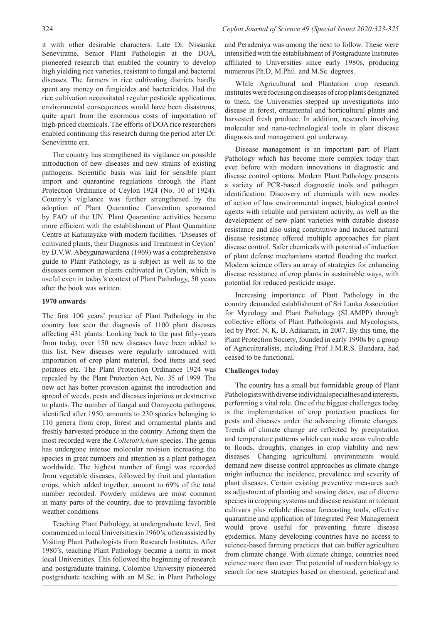it with other desirable characters. Late Dr. Nissanka Seneviratne, Senior Plant Pathologist at the DOA, pioneered research that enabled the country to develop high yielding rice varieties, resistant to fungal and bacterial diseases. The farmers in rice cultivating districts hardly spent any money on fungicides and bactericides. Had the rice cultivation necessitated regular pesticide applications, environmental consequences would have been disastrous, quite apart from the enormous costs of importation of high-priced chemicals. The efforts of DOA rice researchers enabled continuing this research during the period after Dr. Seneviratne era.

The country has strengthened its vigilance on possible introduction of new diseases and new strains of existing pathogens. Scientific basis was laid for sensible plant import and quarantine regulations through the Plant Protection Ordinance of Ceylon 1924 (No. 10 of 1924). Country's vigilance was further strengthened by the adoption of Plant Quarantine Convention sponsored by FAO of the UN. Plant Quarantine activities became more efficient with the establishment of Plant Quarantine Centre at Katunayake with modern facilities. 'Diseases of cultivated plants, their Diagnosis and Treatment in Ceylon' by D.V.W. Abeygunawardena (1969) was a comprehensive guide to Plant Pathology, as a subject as well as to the diseases common in plants cultivated in Ceylon, which is useful even in today's context of Plant Pathology, 50 years after the book was written.

#### **1970 onwards**

The first 100 years' practice of Plant Pathology in the country has seen the diagnosis of 1100 plant diseases affecting 431 plants. Looking back to the past fifty-years from today, over 150 new diseases have been added to this list. New diseases were regularly introduced with importation of crop plant material, food items and seed potatoes etc. The Plant Protection Ordinance 1924 was repealed by the Plant Protection Act, No. 35 of 1999. The new act has better provision against the introduction and spread of weeds, pests and diseases injurious or destructive to plants. The number of fungal and Oomycota pathogens, identified after 1950, amounts to 230 species belonging to 110 genera from crop, forest and ornamental plants and freshly harvested produce in the country. Among them the most recorded were the *Colletotrichum* species. The genus has undergone intense molecular revision increasing the species in great numbers and attention as a plant pathogen worldwide. The highest number of fungi was recorded from vegetable diseases, followed by fruit and plantation crops, which added together, amount to 69% of the total number recorded. Powdery mildews are most common in many parts of the country, due to prevailing favorable weather conditions.

Teaching Plant Pathology, at undergraduate level, first commenced in local Universities in 1960's, often assisted by Visiting Plant Pathologists from Research Institutes. After 1980's, teaching Plant Pathology became a norm in most local Universities. This followed the beginning of research and postgraduate training. Colombo University pioneered postgraduate teaching with an M.Sc. in Plant Pathology

and Peradeniya was among the next to follow. These were intensified with the establishment of Postgraduate Institutes affiliated to Universities since early 1980s, producing numerous Ph.D, M.Phil. and M.Sc. degrees.

While Agricultural and Plantation crop research institutes were focusing on diseases of crop plants designated to them, the Universities stepped up investigations into disease in forest, ornamental and horticultural plants and harvested fresh produce. In addition, research involving molecular and nano-technological tools in plant disease diagnosis and management got underway.

Disease management is an important part of Plant Pathology which has become more complex today than ever before with modern innovations in diagnostic and disease control options. Modern Plant Pathology presents a variety of PCR-based diagnostic tools and pathogen identification. Discovery of chemicals with new modes of action of low environmental impact, biological control agents with reliable and persistent activity, as well as the development of new plant varieties with durable disease resistance and also using constitutive and induced natural disease resistance offered multiple approaches for plant disease control. Safer chemicals with potential of induction of plant defense mechanisms started flooding the market. Modern science offers an array of strategies for enhancing disease resistance of crop plants in sustainable ways, with potential for reduced pesticide usage.

Increasing importance of Plant Pathology in the country demanded establishment of Sri Lanka Association for Mycology and Plant Pathology (SLAMPP) through collective efforts of Plant Pathologists and Mycologists, led by Prof. N. K. B. Adikaram, in 2007. By this time, the Plant Protection Society, founded in early 1990s by a group of Agriculturalists, including Prof J.M.R.S. Bandara, had ceased to be functional.

### **Challenges today**

The country has a small but formidable group of Plant Pathologists with diverse individual specialties and interests, performing a vital role. One of the biggest challenges today is the implementation of crop protection practices for pests and diseases under the advancing climate changes. Trends of climate change are reflected by precipitation and temperature patterns which can make areas vulnerable to floods, droughts, changes in crop viability and new diseases. Changing agricultural environments would demand new disease control approaches as climate change might influence the incidence, prevalence and severity of plant diseases. Certain existing preventive measures such as adjustment of planting and sowing dates, use of diverse species in cropping systems and disease resistant or tolerant cultivars plus reliable disease forecasting tools, effective quarantine and application of Integrated Pest Management would prove useful for preventing future disease epidemics. Many developing countries have no access to science-based farming practices that can buffer agriculture from climate change. With climate change, countries need science more than ever. The potential of modern biology to search for new strategies based on chemical, genetical and